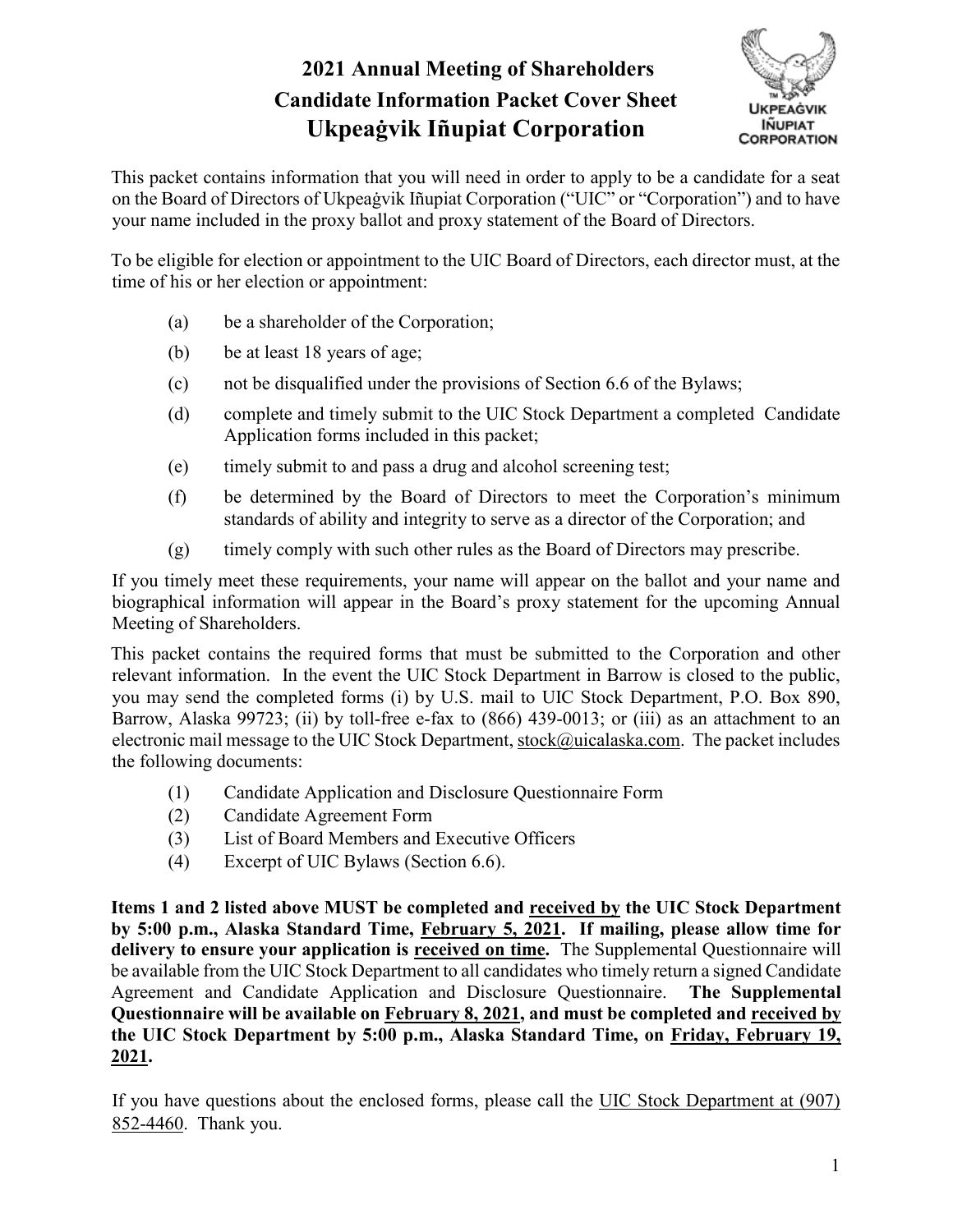# **2021 Annual Meeting of Shareholders Candidate Information Packet Cover Sheet Ukpeaġvik Iñupiat Corporation**



This packet contains information that you will need in order to apply to be a candidate for a seat on the Board of Directors of Ukpeaġvik Iñupiat Corporation ("UIC" or "Corporation") and to have your name included in the proxy ballot and proxy statement of the Board of Directors.

To be eligible for election or appointment to the UIC Board of Directors, each director must, at the time of his or her election or appointment:

- (a) be a shareholder of the Corporation;
- (b) be at least 18 years of age;
- (c) not be disqualified under the provisions of Section 6.6 of the Bylaws;
- (d) complete and timely submit to the UIC Stock Department a completed Candidate Application forms included in this packet;
- (e) timely submit to and pass a drug and alcohol screening test;
- (f) be determined by the Board of Directors to meet the Corporation's minimum standards of ability and integrity to serve as a director of the Corporation; and
- (g) timely comply with such other rules as the Board of Directors may prescribe.

If you timely meet these requirements, your name will appear on the ballot and your name and biographical information will appear in the Board's proxy statement for the upcoming Annual Meeting of Shareholders.

This packet contains the required forms that must be submitted to the Corporation and other relevant information. In the event the UIC Stock Department in Barrow is closed to the public, you may send the completed forms (i) by U.S. mail to UIC Stock Department, P.O. Box 890, Barrow, Alaska 99723; (ii) by toll-free e-fax to (866) 439-0013; or (iii) as an attachment to an electronic mail message to the UIC Stock Department, [stock@uicalaska.com.](mailto:stock@uicalaska.com) The packet includes the following documents:

- (1) Candidate Application and Disclosure Questionnaire Form
- (2) Candidate Agreement Form
- (3) List of Board Members and Executive Officers
- (4) Excerpt of UIC Bylaws (Section 6.6).

**Items 1 and 2 listed above MUST be completed and received by the UIC Stock Department by 5:00 p.m., Alaska Standard Time, February 5, 2021. If mailing, please allow time for delivery to ensure your application is received on time.** The Supplemental Questionnaire will be available from the UIC Stock Department to all candidates who timely return a signed Candidate Agreement and Candidate Application and Disclosure Questionnaire. **The Supplemental Questionnaire will be available on February 8, 2021, and must be completed and received by the UIC Stock Department by 5:00 p.m., Alaska Standard Time, on Friday, February 19, 2021.**

If you have questions about the enclosed forms, please call the UIC Stock Department at (907) 852-4460. Thank you.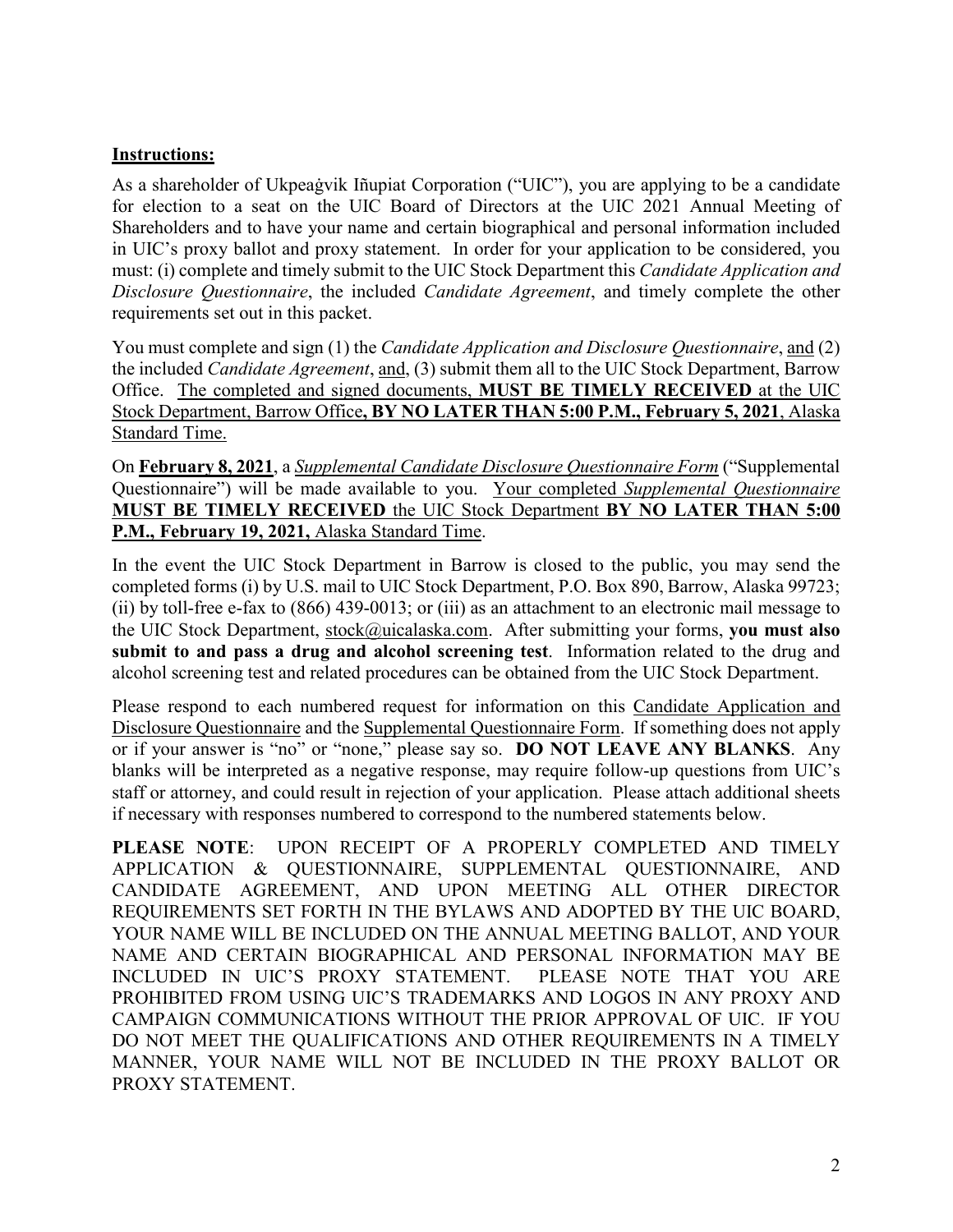### **Instructions:**

As a shareholder of Ukpeaġvik Iñupiat Corporation ("UIC"), you are applying to be a candidate for election to a seat on the UIC Board of Directors at the UIC 2021 Annual Meeting of Shareholders and to have your name and certain biographical and personal information included in UIC's proxy ballot and proxy statement. In order for your application to be considered, you must: (i) complete and timely submit to the UIC Stock Department this *Candidate Application and Disclosure Questionnaire*, the included *Candidate Agreement*, and timely complete the other requirements set out in this packet.

You must complete and sign (1) the *Candidate Application and Disclosure Questionnaire*, and (2) the included *Candidate Agreement*, and, (3) submit them all to the UIC Stock Department, Barrow Office. The completed and signed documents, **MUST BE TIMELY RECEIVED** at the UIC Stock Department, Barrow Office**, BY NO LATER THAN 5:00 P.M., February 5, 2021**, Alaska Standard Time.

On **February 8, 2021**, a *Supplemental Candidate Disclosure Questionnaire Form* ("Supplemental Questionnaire") will be made available to you. Your completed *Supplemental Questionnaire* **MUST BE TIMELY RECEIVED** the UIC Stock Department **BY NO LATER THAN 5:00 P.M., February 19, 2021,** Alaska Standard Time.

In the event the UIC Stock Department in Barrow is closed to the public, you may send the completed forms (i) by U.S. mail to UIC Stock Department, P.O. Box 890, Barrow, Alaska 99723; (ii) by toll-free e-fax to (866) 439-0013; or (iii) as an attachment to an electronic mail message to the UIC Stock Department, [stock@uicalaska.com.](mailto:stock@uicalaska.com) After submitting your forms, **you must also submit to and pass a drug and alcohol screening test**. Information related to the drug and alcohol screening test and related procedures can be obtained from the UIC Stock Department.

Please respond to each numbered request for information on this Candidate Application and Disclosure Questionnaire and the Supplemental Questionnaire Form. If something does not apply or if your answer is "no" or "none," please say so. **DO NOT LEAVE ANY BLANKS**. Any blanks will be interpreted as a negative response, may require follow-up questions from UIC's staff or attorney, and could result in rejection of your application. Please attach additional sheets if necessary with responses numbered to correspond to the numbered statements below.

**PLEASE NOTE**: UPON RECEIPT OF A PROPERLY COMPLETED AND TIMELY APPLICATION & QUESTIONNAIRE, SUPPLEMENTAL QUESTIONNAIRE, AND CANDIDATE AGREEMENT, AND UPON MEETING ALL OTHER DIRECTOR REQUIREMENTS SET FORTH IN THE BYLAWS AND ADOPTED BY THE UIC BOARD, YOUR NAME WILL BE INCLUDED ON THE ANNUAL MEETING BALLOT, AND YOUR NAME AND CERTAIN BIOGRAPHICAL AND PERSONAL INFORMATION MAY BE INCLUDED IN UIC'S PROXY STATEMENT. PLEASE NOTE THAT YOU ARE PROHIBITED FROM USING UIC'S TRADEMARKS AND LOGOS IN ANY PROXY AND CAMPAIGN COMMUNICATIONS WITHOUT THE PRIOR APPROVAL OF UIC. IF YOU DO NOT MEET THE QUALIFICATIONS AND OTHER REQUIREMENTS IN A TIMELY MANNER, YOUR NAME WILL NOT BE INCLUDED IN THE PROXY BALLOT OR PROXY STATEMENT.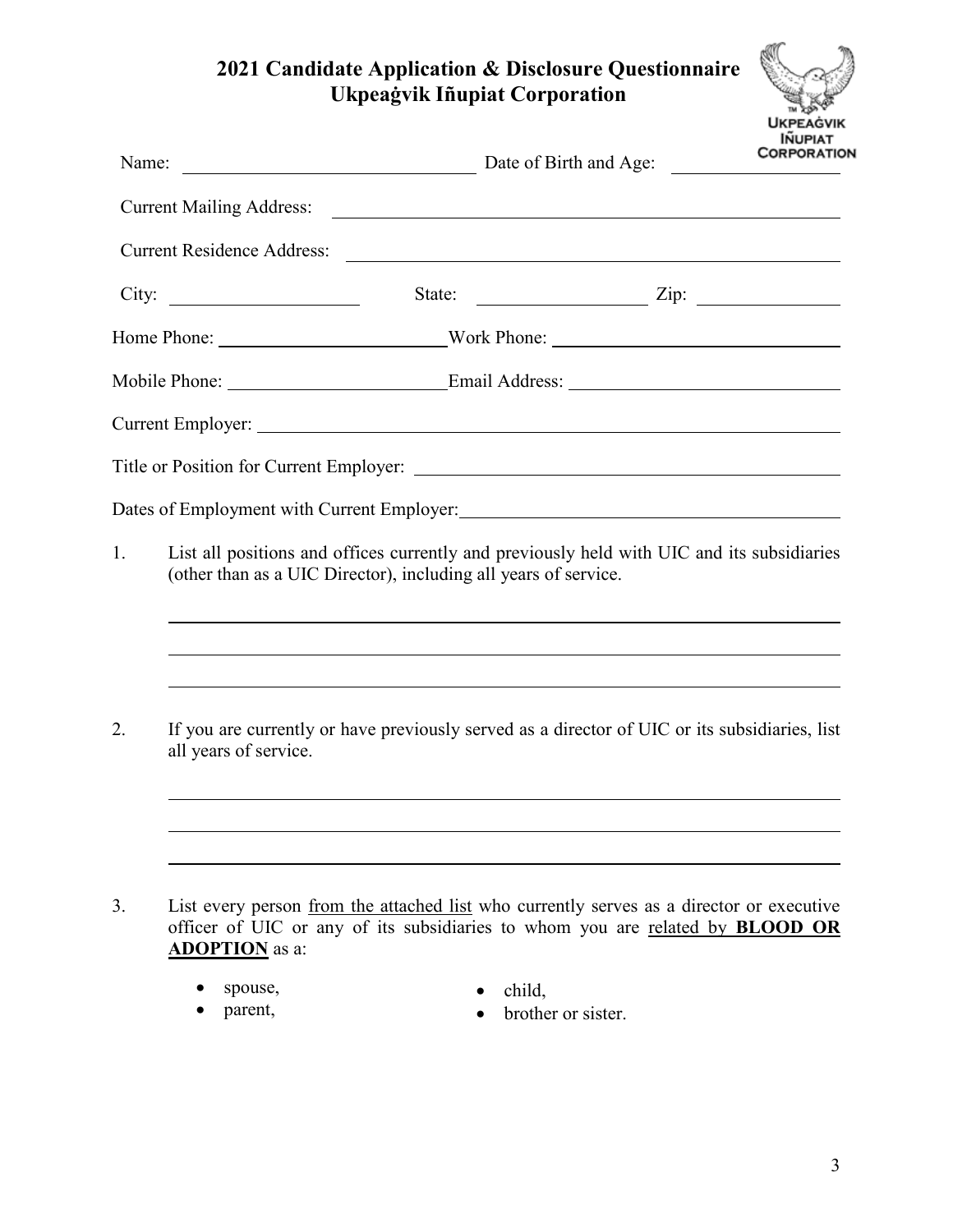### **2021 Candidate Application & Disclosure Questionnaire Ukpeaġvik Iñupiat Corporation**

| <b>UKPEAGVIK</b> |
|------------------|
| <b>IÑUPIAT</b>   |
| CORPORATION      |
|                  |

| Name:                                                                                                                                                                                                                                                   |                                   | Date of Birth and Age:                                                                                                                                                                                                                                                |                              | <b>INUFIAI</b><br>CORPORATIO |
|---------------------------------------------------------------------------------------------------------------------------------------------------------------------------------------------------------------------------------------------------------|-----------------------------------|-----------------------------------------------------------------------------------------------------------------------------------------------------------------------------------------------------------------------------------------------------------------------|------------------------------|------------------------------|
|                                                                                                                                                                                                                                                         | <b>Current Mailing Address:</b>   | <u> 1980 - Johann Barn, fransk politik fotograf (d. 1980)</u>                                                                                                                                                                                                         |                              |                              |
|                                                                                                                                                                                                                                                         | <b>Current Residence Address:</b> | <u> 1989 - Andrea State Barbara, amerikan personal di sebagai personal di sebagai personal di sebagai personal d</u>                                                                                                                                                  |                              |                              |
|                                                                                                                                                                                                                                                         | City:                             |                                                                                                                                                                                                                                                                       | State: $\frac{Zip:}{\qquad}$ |                              |
|                                                                                                                                                                                                                                                         |                                   |                                                                                                                                                                                                                                                                       |                              |                              |
|                                                                                                                                                                                                                                                         |                                   |                                                                                                                                                                                                                                                                       |                              |                              |
|                                                                                                                                                                                                                                                         |                                   |                                                                                                                                                                                                                                                                       |                              |                              |
|                                                                                                                                                                                                                                                         |                                   |                                                                                                                                                                                                                                                                       |                              |                              |
|                                                                                                                                                                                                                                                         |                                   |                                                                                                                                                                                                                                                                       |                              |                              |
| List all positions and offices currently and previously held with UIC and its subsidiaries<br>1.<br>(other than as a UIC Director), including all years of service.<br>,我们也不会有什么。""我们的人,我们也不会有什么?""我们的人,我们也不会有什么?""我们的人,我们也不会有什么?""我们的人,我们也不会有什么?""我们的人 |                                   |                                                                                                                                                                                                                                                                       |                              |                              |
| 2.                                                                                                                                                                                                                                                      | all years of service.             | ,我们也不会有什么。""我们的人,我们也不会有什么?""我们的人,我们也不会有什么?""我们的人,我们也不会有什么?""我们的人,我们也不会有什么?""我们的人<br>,我们也不会有什么。""我们的人,我们也不会有什么?""我们的人,我们也不会有什么?""我们的人,我们也不会有什么?""我们的人,我们也不会有什么?""我们的人<br>If you are currently or have previously served as a director of UIC or its subsidiaries, list |                              |                              |
|                                                                                                                                                                                                                                                         |                                   |                                                                                                                                                                                                                                                                       |                              |                              |

- spouse,
- parent,
- child,
- brother or sister.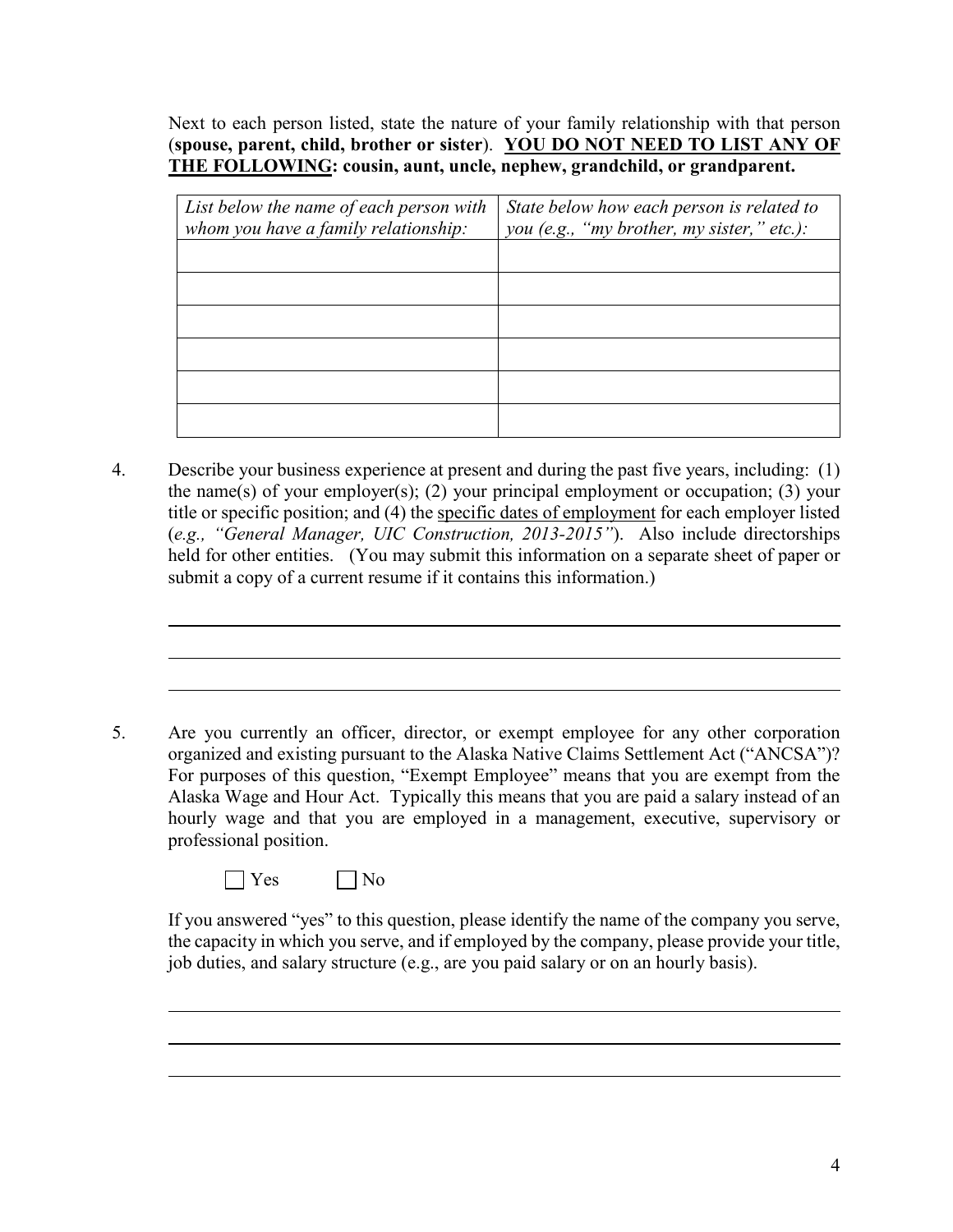Next to each person listed, state the nature of your family relationship with that person (**spouse, parent, child, brother or sister**). **YOU DO NOT NEED TO LIST ANY OF THE FOLLOWING: cousin, aunt, uncle, nephew, grandchild, or grandparent.**

| List below the name of each person with<br>whom you have a family relationship: | State below how each person is related to<br>you (e.g., "my brother, my sister," etc.): |
|---------------------------------------------------------------------------------|-----------------------------------------------------------------------------------------|
|                                                                                 |                                                                                         |
|                                                                                 |                                                                                         |
|                                                                                 |                                                                                         |
|                                                                                 |                                                                                         |
|                                                                                 |                                                                                         |
|                                                                                 |                                                                                         |

4. Describe your business experience at present and during the past five years, including: (1) the name(s) of your employer(s); (2) your principal employment or occupation; (3) your title or specific position; and (4) the specific dates of employment for each employer listed (*e.g., "General Manager, UIC Construction, 2013-2015"*). Also include directorships held for other entities. (You may submit this information on a separate sheet of paper or submit a copy of a current resume if it contains this information.)

5. Are you currently an officer, director, or exempt employee for any other corporation organized and existing pursuant to the Alaska Native Claims Settlement Act ("ANCSA")? For purposes of this question, "Exempt Employee" means that you are exempt from the Alaska Wage and Hour Act. Typically this means that you are paid a salary instead of an hourly wage and that you are employed in a management, executive, supervisory or professional position.

 $\bigcap$  Yes  $\bigcap$  No

If you answered "yes" to this question, please identify the name of the company you serve, the capacity in which you serve, and if employed by the company, please provide your title, job duties, and salary structure (e.g., are you paid salary or on an hourly basis).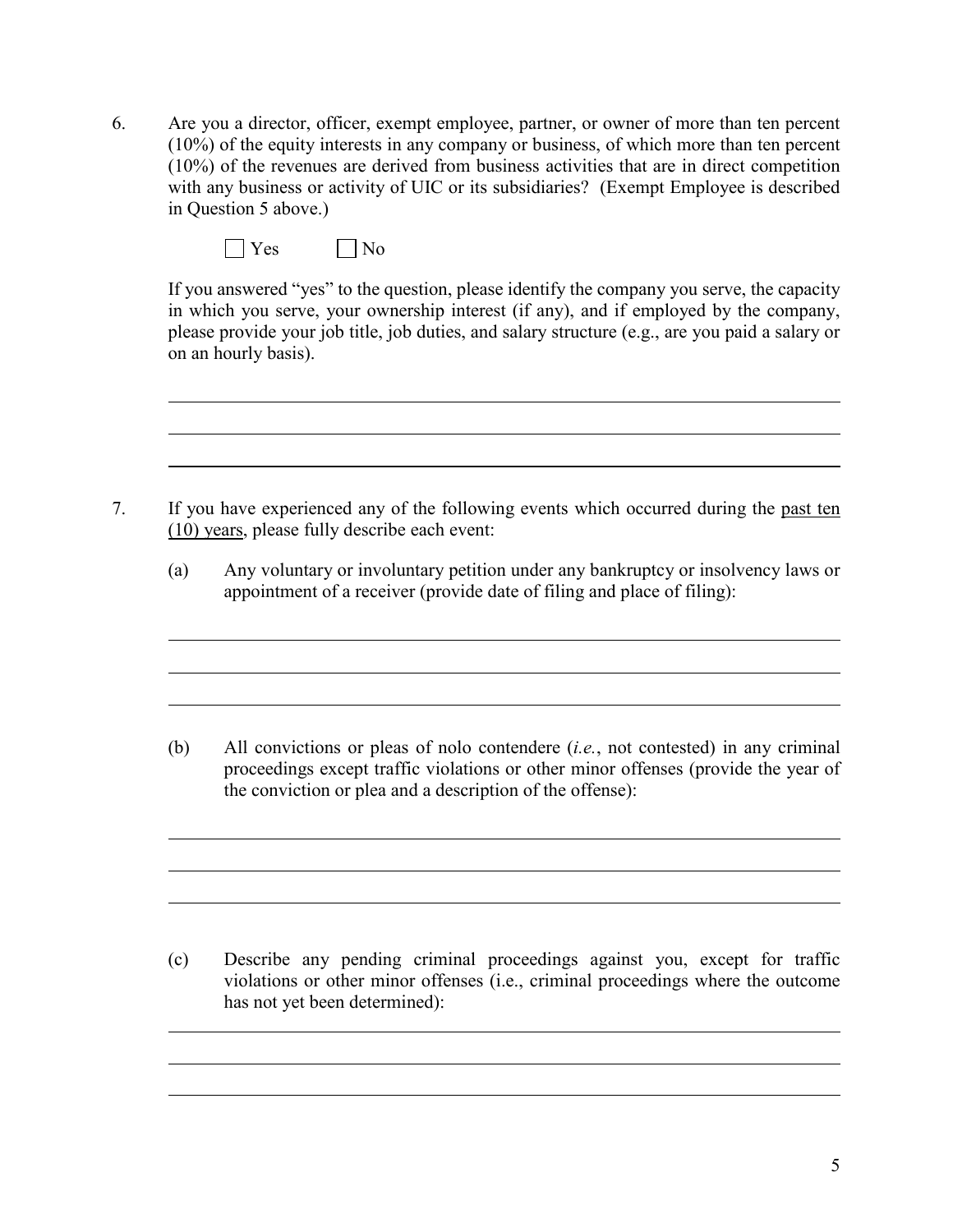6. Are you a director, officer, exempt employee, partner, or owner of more than ten percent (10%) of the equity interests in any company or business, of which more than ten percent (10%) of the revenues are derived from business activities that are in direct competition with any business or activity of UIC or its subsidiaries? (Exempt Employee is described in Question 5 above.)

|  |  |  | ง∩<br>- |
|--|--|--|---------|
|--|--|--|---------|

If you answered "yes" to the question, please identify the company you serve, the capacity in which you serve, your ownership interest (if any), and if employed by the company, please provide your job title, job duties, and salary structure (e.g., are you paid a salary or on an hourly basis).

- 7. If you have experienced any of the following events which occurred during the past ten (10) years, please fully describe each event:
	- (a) Any voluntary or involuntary petition under any bankruptcy or insolvency laws or appointment of a receiver (provide date of filing and place of filing):

(b) All convictions or pleas of nolo contendere (*i.e.*, not contested) in any criminal proceedings except traffic violations or other minor offenses (provide the year of the conviction or plea and a description of the offense):

(c) Describe any pending criminal proceedings against you, except for traffic violations or other minor offenses (i.e., criminal proceedings where the outcome has not yet been determined):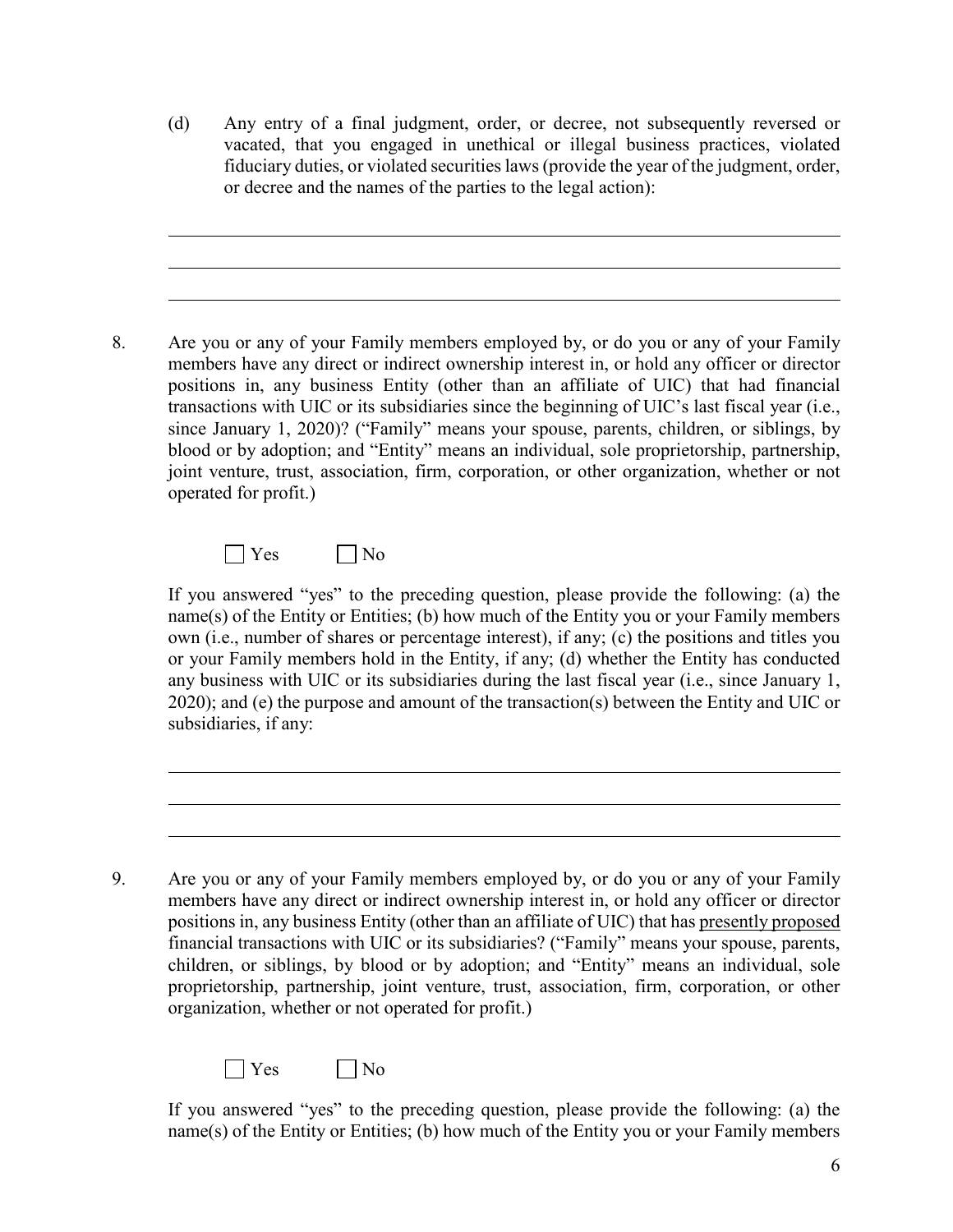(d) Any entry of a final judgment, order, or decree, not subsequently reversed or vacated, that you engaged in unethical or illegal business practices, violated fiduciary duties, or violated securities laws (provide the year of the judgment, order, or decree and the names of the parties to the legal action):

8. Are you or any of your Family members employed by, or do you or any of your Family members have any direct or indirect ownership interest in, or hold any officer or director positions in, any business Entity (other than an affiliate of UIC) that had financial transactions with UIC or its subsidiaries since the beginning of UIC's last fiscal year (i.e., since January 1, 2020)? ("Family" means your spouse, parents, children, or siblings, by blood or by adoption; and "Entity" means an individual, sole proprietorship, partnership, joint venture, trust, association, firm, corporation, or other organization, whether or not operated for profit.)

 $\Box$  Yes  $\Box$  No

If you answered "yes" to the preceding question, please provide the following: (a) the name(s) of the Entity or Entities; (b) how much of the Entity you or your Family members own (i.e., number of shares or percentage interest), if any; (c) the positions and titles you or your Family members hold in the Entity, if any; (d) whether the Entity has conducted any business with UIC or its subsidiaries during the last fiscal year (i.e., since January 1, 2020); and (e) the purpose and amount of the transaction(s) between the Entity and UIC or subsidiaries, if any:

<sup>9</sup>. Are you or any of your Family members employed by, or do you or any of your Family members have any direct or indirect ownership interest in, or hold any officer or director positions in, any business Entity (other than an affiliate of UIC) that has presently proposed financial transactions with UIC or its subsidiaries? ("Family" means your spouse, parents, children, or siblings, by blood or by adoption; and "Entity" means an individual, sole proprietorship, partnership, joint venture, trust, association, firm, corporation, or other organization, whether or not operated for profit.)



If you answered "yes" to the preceding question, please provide the following: (a) the name(s) of the Entity or Entities; (b) how much of the Entity you or your Family members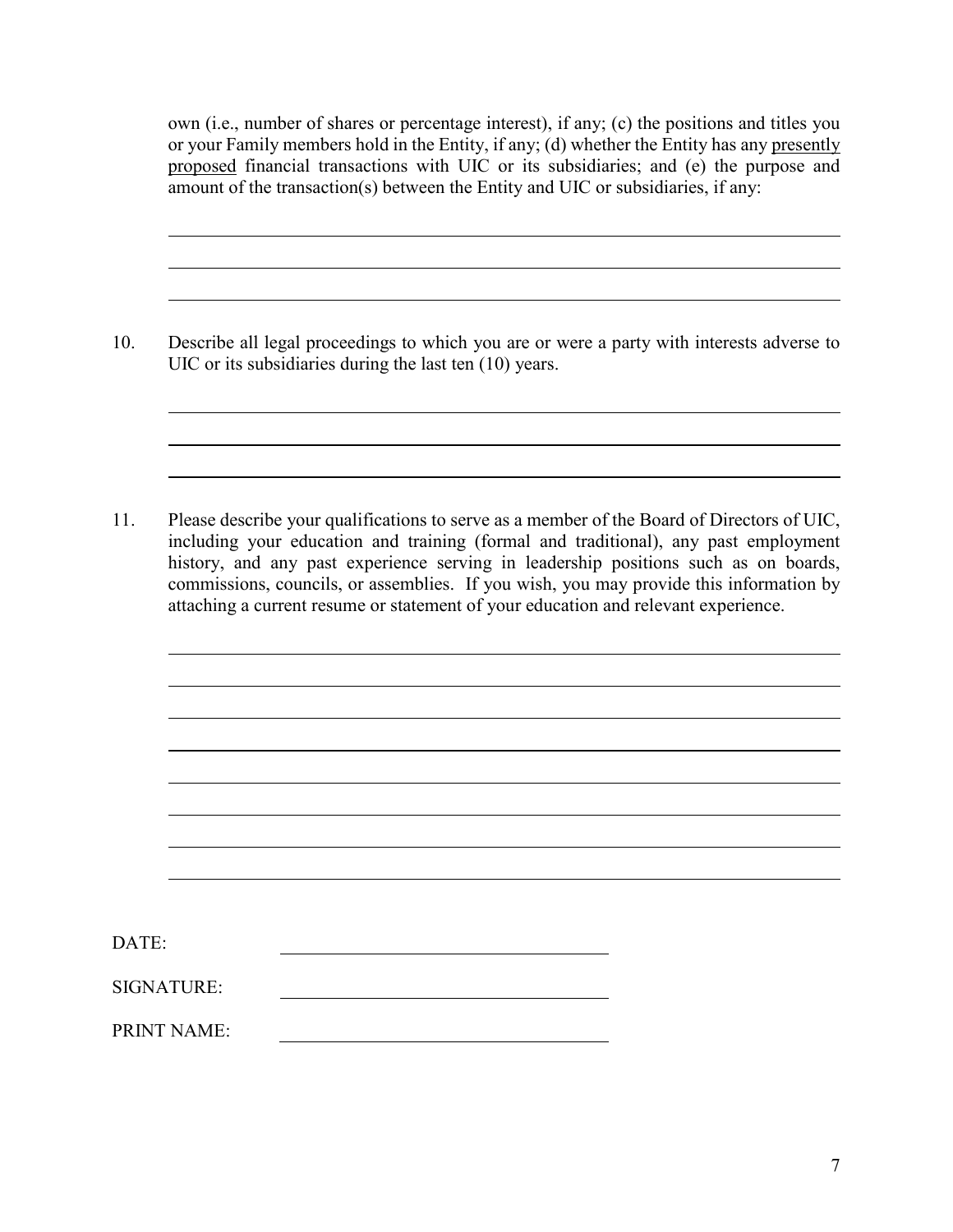own (i.e., number of shares or percentage interest), if any; (c) the positions and titles you or your Family members hold in the Entity, if any; (d) whether the Entity has any presently proposed financial transactions with UIC or its subsidiaries; and (e) the purpose and amount of the transaction(s) between the Entity and UIC or subsidiaries, if any:

10. Describe all legal proceedings to which you are or were a party with interests adverse to UIC or its subsidiaries during the last ten (10) years.

11. Please describe your qualifications to serve as a member of the Board of Directors of UIC, including your education and training (formal and traditional), any past employment history, and any past experience serving in leadership positions such as on boards, commissions, councils, or assemblies. If you wish, you may provide this information by attaching a current resume or statement of your education and relevant experience.

| DATE:              |  |
|--------------------|--|
| SIGNATURE:         |  |
| <b>PRINT NAME:</b> |  |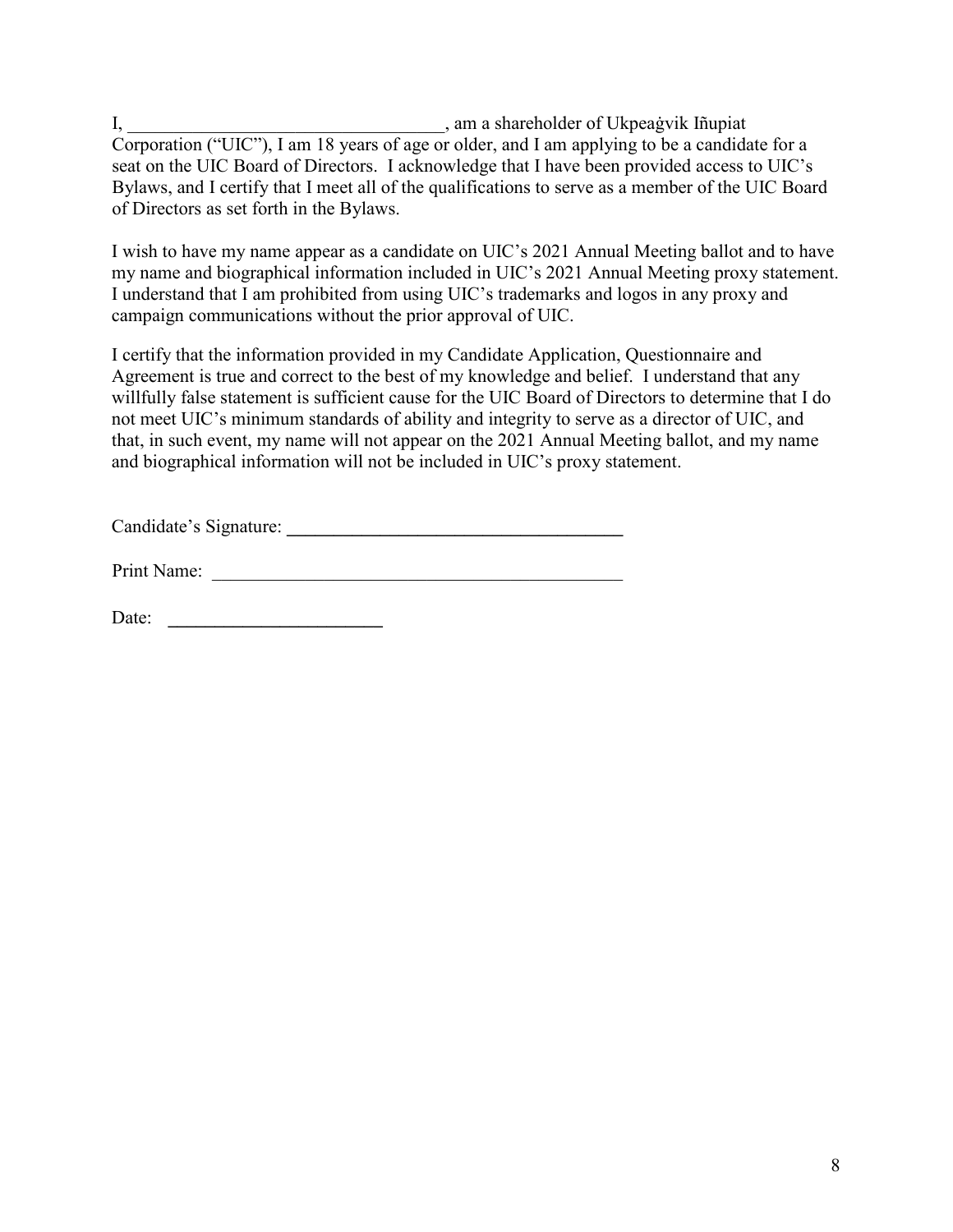I, \_\_\_\_\_\_\_\_\_\_\_\_\_\_\_\_\_\_\_\_\_\_\_\_\_\_\_\_\_\_\_\_\_\_, am a shareholder of Ukpeaġvik Iñupiat Corporation ("UIC"), I am 18 years of age or older, and I am applying to be a candidate for a seat on the UIC Board of Directors. I acknowledge that I have been provided access to UIC's Bylaws, and I certify that I meet all of the qualifications to serve as a member of the UIC Board of Directors as set forth in the Bylaws.

I wish to have my name appear as a candidate on UIC's 2021 Annual Meeting ballot and to have my name and biographical information included in UIC's 2021 Annual Meeting proxy statement. I understand that I am prohibited from using UIC's trademarks and logos in any proxy and campaign communications without the prior approval of UIC.

I certify that the information provided in my Candidate Application, Questionnaire and Agreement is true and correct to the best of my knowledge and belief. I understand that any willfully false statement is sufficient cause for the UIC Board of Directors to determine that I do not meet UIC's minimum standards of ability and integrity to serve as a director of UIC, and that, in such event, my name will not appear on the 2021 Annual Meeting ballot, and my name and biographical information will not be included in UIC's proxy statement.

Candidate's Signature: **\_\_\_\_\_\_\_\_\_\_\_\_\_\_\_\_\_\_\_\_\_\_\_\_\_\_\_\_\_\_\_\_\_\_\_\_**

Print Name: \_\_\_\_\_\_\_\_\_\_\_\_\_\_\_\_\_\_\_\_\_\_\_\_\_\_\_\_\_\_\_\_\_\_\_\_\_\_\_\_\_\_\_\_

Date: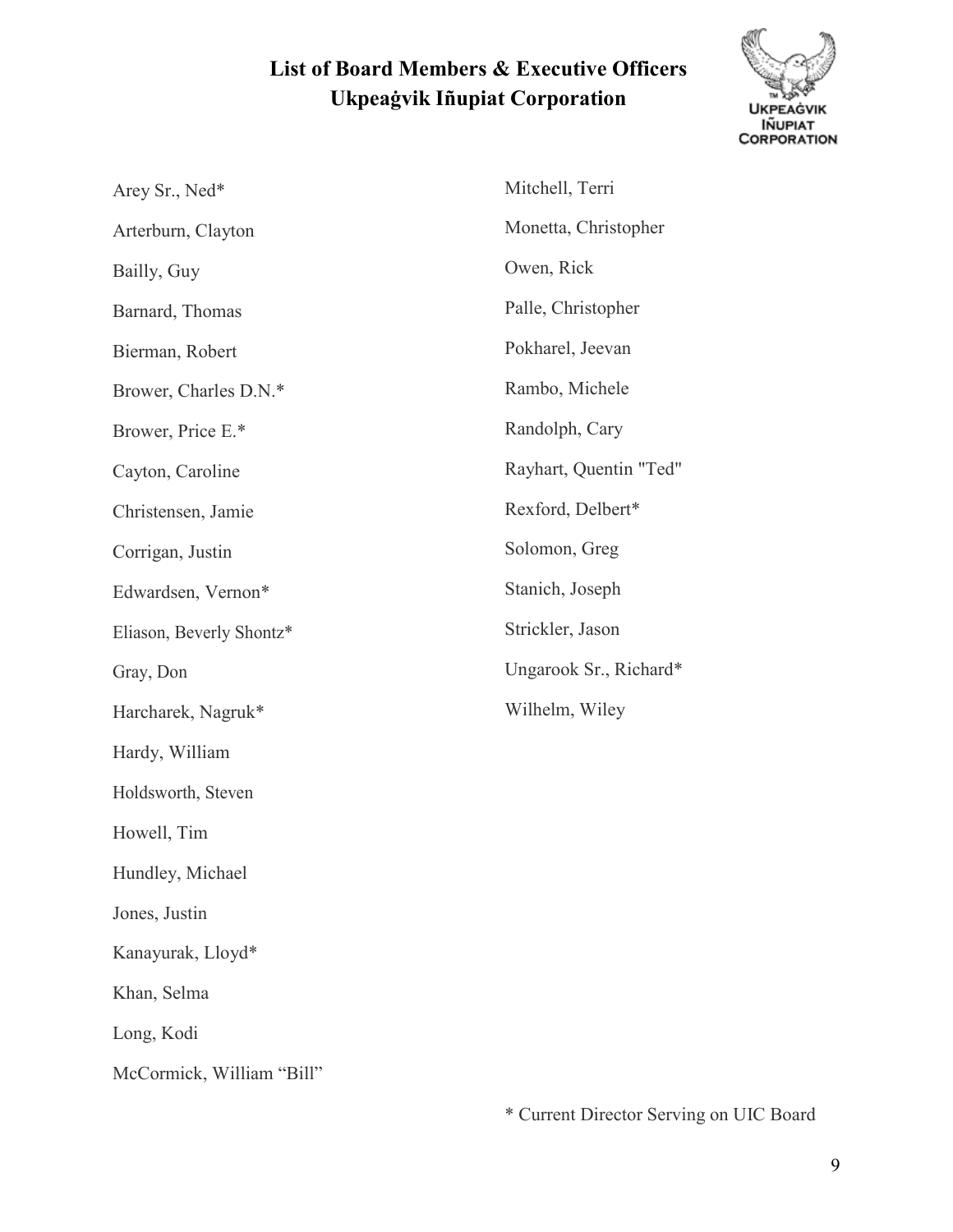## **List of Board Members & Executive Officers Ukpeaġvik Iñupiat Corporation**



| Arey Sr., Ned*            | Mitchell, Terri  |
|---------------------------|------------------|
| Arterburn, Clayton        | Monetta, Christ  |
| Bailly, Guy               | Owen, Rick       |
| Barnard, Thomas           | Palle, Christoph |
| Bierman, Robert           | Pokharel, Jeeva  |
| Brower, Charles D.N.*     | Rambo, Michel    |
| Brower, Price E.*         | Randolph, Cary   |
| Cayton, Caroline          | Rayhart, Quent   |
| Christensen, Jamie        | Rexford, Delbe   |
| Corrigan, Justin          | Solomon, Greg    |
| Edwardsen, Vernon*        | Stanich, Joseph  |
| Eliason, Beverly Shontz*  | Strickler, Jason |
| Gray, Don                 | Ungarook Sr., I  |
| Harcharek, Nagruk*        | Wilhelm, Wiley   |
| Hardy, William            |                  |
| Holdsworth, Steven        |                  |
| Howell, Tim               |                  |
| Hundley, Michael          |                  |
| Jones, Justin             |                  |
| Kanayurak, Lloyd*         |                  |
| Khan, Selma               |                  |
| Long, Kodi                |                  |
| McCormick, William "Bill" |                  |

Christopher ick ristopher Jeevan Michele h, Cary Quentin "Ted" Delbert\* , Greg Joseph Jason k Sr., Richard\* Wiley

\* Current Director Serving on UIC Board